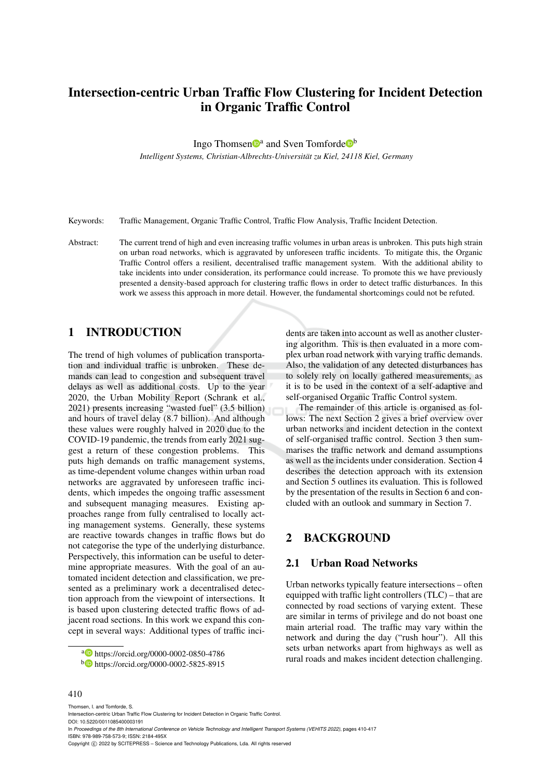# Intersection-centric Urban Traffic Flow Clustering for Incident Detection in Organic Traffic Control

Ingo Thomsen<sup>to</sup> and Sven Tomforde<sup>tob</sup>

*Intelligent Systems, Christian-Albrechts-Universitat zu Kiel, 24118 Kiel, Germany ¨*

Keywords: Traffic Management, Organic Traffic Control, Traffic Flow Analysis, Traffic Incident Detection.

Abstract: The current trend of high and even increasing traffic volumes in urban areas is unbroken. This puts high strain on urban road networks, which is aggravated by unforeseen traffic incidents. To mitigate this, the Organic Traffic Control offers a resilient, decentralised traffic management system. With the additional ability to take incidents into under consideration, its performance could increase. To promote this we have previously presented a density-based approach for clustering traffic flows in order to detect traffic disturbances. In this work we assess this approach in more detail. However, the fundamental shortcomings could not be refuted.

# 1 INTRODUCTION

The trend of high volumes of publication transportation and individual traffic is unbroken. These demands can lead to congestion and subsequent travel delays as well as additional costs. Up to the year 2020, the Urban Mobility Report (Schrank et al., 2021) presents increasing "wasted fuel" (3.5 billion) and hours of travel delay (8.7 billion). And although these values were roughly halved in 2020 due to the COVID-19 pandemic, the trends from early 2021 suggest a return of these congestion problems. This puts high demands on traffic management systems, as time-dependent volume changes within urban road networks are aggravated by unforeseen traffic incidents, which impedes the ongoing traffic assessment and subsequent managing measures. Existing approaches range from fully centralised to locally acting management systems. Generally, these systems are reactive towards changes in traffic flows but do not categorise the type of the underlying disturbance. Perspectively, this information can be useful to determine appropriate measures. With the goal of an automated incident detection and classification, we presented as a preliminary work a decentralised detection approach from the viewpoint of intersections. It is based upon clustering detected traffic flows of adjacent road sections. In this work we expand this concept in several ways: Additional types of traffic incidents are taken into account as well as another clustering algorithm. This is then evaluated in a more complex urban road network with varying traffic demands. Also, the validation of any detected disturbances has to solely rely on locally gathered measurements, as it is to be used in the context of a self-adaptive and self-organised Organic Traffic Control system.

The remainder of this article is organised as follows: The next Section 2 gives a brief overview over urban networks and incident detection in the context of self-organised traffic control. Section 3 then summarises the traffic network and demand assumptions as well as the incidents under consideration. Section 4 describes the detection approach with its extension and Section 5 outlines its evaluation. This is followed by the presentation of the results in Section 6 and concluded with an outlook and summary in Section 7.

### 2 BACKGROUND

### 2.1 Urban Road Networks

Urban networks typically feature intersections – often equipped with traffic light controllers (TLC) – that are connected by road sections of varying extent. These are similar in terms of privilege and do not boast one main arterial road. The traffic may vary within the network and during the day ("rush hour"). All this sets urban networks apart from highways as well as rural roads and makes incident detection challenging.

#### 410

Thomsen, I. and Tomforde, S.

<sup>a</sup> https://orcid.org/0000-0002-0850-4786

<sup>b</sup> https://orcid.org/0000-0002-5825-8915

Intersection-centric Urban Traffic Flow Clustering for Incident Detection in Organic Traffic Control. DOI: 10.5220/0011085400003191 In *Proceedings of the 8th International Conference on Vehicle Technology and Intelligent Transport Systems (VEHITS 2022)*, pages 410-417 ISBN: 978-989-758-573-9; ISSN: 2184-495X Copyright (C) 2022 by SCITEPRESS - Science and Technology Publications, Lda. All rights reserved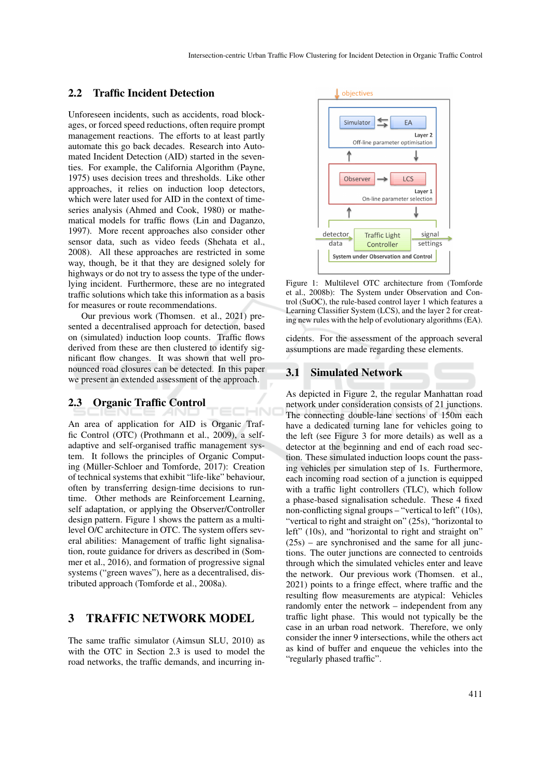#### 2.2 Traffic Incident Detection

Unforeseen incidents, such as accidents, road blockages, or forced speed reductions, often require prompt management reactions. The efforts to at least partly automate this go back decades. Research into Automated Incident Detection (AID) started in the seventies. For example, the California Algorithm (Payne, 1975) uses decision trees and thresholds. Like other approaches, it relies on induction loop detectors, which were later used for AID in the context of timeseries analysis (Ahmed and Cook, 1980) or mathematical models for traffic flows (Lin and Daganzo, 1997). More recent approaches also consider other sensor data, such as video feeds (Shehata et al., 2008). All these approaches are restricted in some way, though, be it that they are designed solely for highways or do not try to assess the type of the underlying incident. Furthermore, these are no integrated traffic solutions which take this information as a basis for measures or route recommendations.

Our previous work (Thomsen. et al., 2021) presented a decentralised approach for detection, based on (simulated) induction loop counts. Traffic flows derived from these are then clustered to identify significant flow changes. It was shown that well pronounced road closures can be detected. In this paper we present an extended assessment of the approach.

#### 2.3 Organic Traffic Control

An area of application for AID is Organic Traffic Control (OTC) (Prothmann et al., 2009), a selfadaptive and self-organised traffic management system. It follows the principles of Organic Computing (Müller-Schloer and Tomforde, 2017): Creation of technical systems that exhibit "life-like" behaviour, often by transferring design-time decisions to runtime. Other methods are Reinforcement Learning, self adaptation, or applying the Observer/Controller design pattern. Figure 1 shows the pattern as a multilevel O/C architecture in OTC. The system offers several abilities: Management of traffic light signalisation, route guidance for drivers as described in (Sommer et al., 2016), and formation of progressive signal systems ("green waves"), here as a decentralised, distributed approach (Tomforde et al., 2008a).

## 3 TRAFFIC NETWORK MODEL

The same traffic simulator (Aimsun SLU, 2010) as with the OTC in Section 2.3 is used to model the road networks, the traffic demands, and incurring in-



Figure 1: Multilevel OTC architecture from (Tomforde et al., 2008b): The System under Observation and Control (SuOC), the rule-based control layer 1 which features a Learning Classifier System (LCS), and the layer 2 for creating new rules with the help of evolutionary algorithms (EA).

cidents. For the assessment of the approach several assumptions are made regarding these elements.

#### 3.1 Simulated Network

**HNO** 

As depicted in Figure 2, the regular Manhattan road network under consideration consists of 21 junctions. The connecting double-lane sections of 150m each have a dedicated turning lane for vehicles going to the left (see Figure 3 for more details) as well as a detector at the beginning and end of each road section. These simulated induction loops count the passing vehicles per simulation step of 1s. Furthermore, each incoming road section of a junction is equipped with a traffic light controllers (TLC), which follow a phase-based signalisation schedule. These 4 fixed non-conflicting signal groups – "vertical to left" (10s), "vertical to right and straight on" (25s), "horizontal to left" (10s), and "horizontal to right and straight on"  $(25s)$  – are synchronised and the same for all junctions. The outer junctions are connected to centroids through which the simulated vehicles enter and leave the network. Our previous work (Thomsen. et al., 2021) points to a fringe effect, where traffic and the resulting flow measurements are atypical: Vehicles randomly enter the network – independent from any traffic light phase. This would not typically be the case in an urban road network. Therefore, we only consider the inner 9 intersections, while the others act as kind of buffer and enqueue the vehicles into the "regularly phased traffic".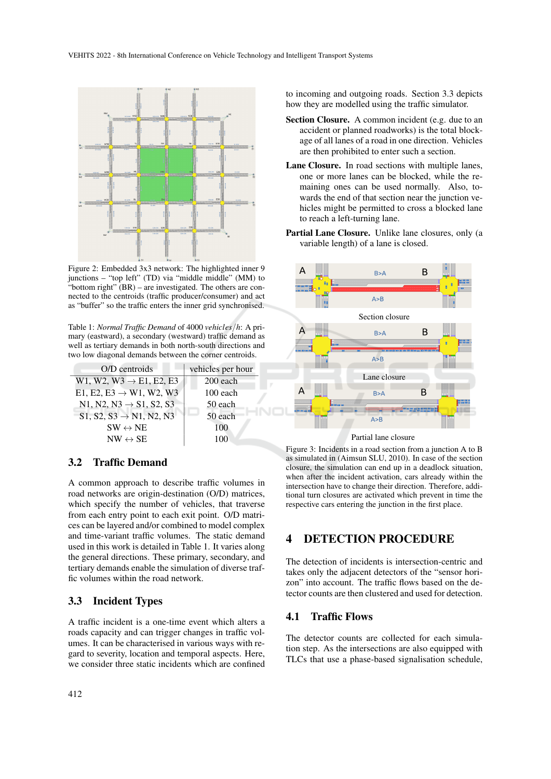

Figure 2: Embedded 3x3 network: The highlighted inner 9 junctions – "top left" (TD) via "middle middle" (MM) to "bottom right" (BR) – are investigated. The others are connected to the centroids (traffic producer/consumer) and act as "buffer" so the traffic enters the inner grid synchronised.

Table 1: *Normal Traffic Demand* of 4000 *vehicles*/*h*: A primary (eastward), a secondary (westward) traffic demand as well as tertiary demands in both north-south directions and two low diagonal demands between the corner centroids.

| O/D centroids                       | vehicles per hour |
|-------------------------------------|-------------------|
| W1, W2, W3 $\rightarrow$ E1, E2, E3 | 200 each          |
| E1, E2, E3 $\rightarrow$ W1, W2, W3 | $100$ each        |
| N1, N2, N3 $\rightarrow$ S1, S2, S3 | 50 each           |
| $S1, S2, S3 \rightarrow N1, N2, N3$ | 50 each           |
| $SW \leftrightarrow NE$             | 100               |
| $NW \leftrightarrow SE$             | 100               |

### 3.2 Traffic Demand

A common approach to describe traffic volumes in road networks are origin-destination (O/D) matrices, which specify the number of vehicles, that traverse from each entry point to each exit point. O/D matrices can be layered and/or combined to model complex and time-variant traffic volumes. The static demand used in this work is detailed in Table 1. It varies along the general directions. These primary, secondary, and tertiary demands enable the simulation of diverse traffic volumes within the road network.

### 3.3 Incident Types

A traffic incident is a one-time event which alters a roads capacity and can trigger changes in traffic volumes. It can be characterised in various ways with regard to severity, location and temporal aspects. Here, we consider three static incidents which are confined

412

to incoming and outgoing roads. Section 3.3 depicts how they are modelled using the traffic simulator.

- Section Closure. A common incident (e.g. due to an accident or planned roadworks) is the total blockage of all lanes of a road in one direction. Vehicles are then prohibited to enter such a section.
- Lane Closure. In road sections with multiple lanes, one or more lanes can be blocked, while the remaining ones can be used normally. Also, towards the end of that section near the junction vehicles might be permitted to cross a blocked lane to reach a left-turning lane.
- Partial Lane Closure. Unlike lane closures, only (a variable length) of a lane is closed.



Figure 3: Incidents in a road section from a junction A to B as simulated in (Aimsun SLU, 2010). In case of the section closure, the simulation can end up in a deadlock situation, when after the incident activation, cars already within the intersection have to change their direction. Therefore, additional turn closures are activated which prevent in time the respective cars entering the junction in the first place.

# 4 DETECTION PROCEDURE

The detection of incidents is intersection-centric and takes only the adjacent detectors of the "sensor horizon" into account. The traffic flows based on the detector counts are then clustered and used for detection.

# 4.1 Traffic Flows

The detector counts are collected for each simulation step. As the intersections are also equipped with TLCs that use a phase-based signalisation schedule,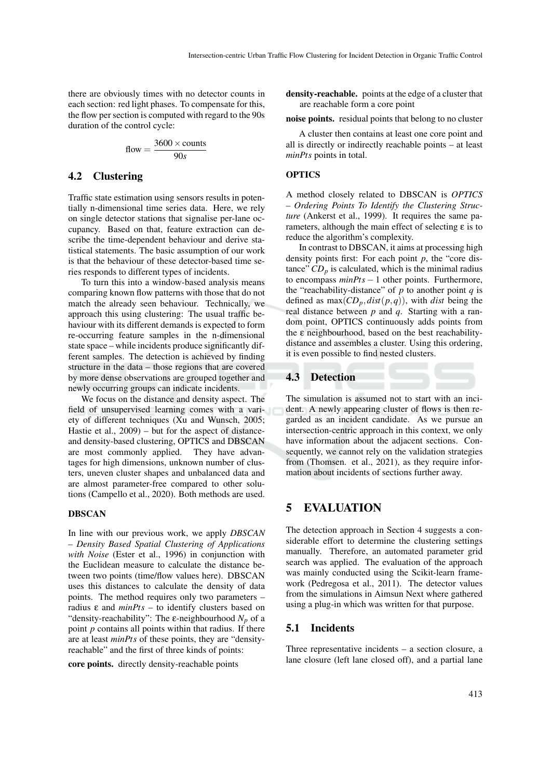there are obviously times with no detector counts in each section: red light phases. To compensate for this, the flow per section is computed with regard to the 90s duration of the control cycle:

$$
flow = \frac{3600 \times counts}{90s}
$$

### 4.2 Clustering

Traffic state estimation using sensors results in potentially n-dimensional time series data. Here, we rely on single detector stations that signalise per-lane occupancy. Based on that, feature extraction can describe the time-dependent behaviour and derive statistical statements. The basic assumption of our work is that the behaviour of these detector-based time series responds to different types of incidents.

To turn this into a window-based analysis means comparing known flow patterns with those that do not match the already seen behaviour. Technically, we approach this using clustering: The usual traffic behaviour with its different demands is expected to form re-occurring feature samples in the n-dimensional state space – while incidents produce significantly different samples. The detection is achieved by finding structure in the data – those regions that are covered by more dense observations are grouped together and newly occurring groups can indicate incidents.

We focus on the distance and density aspect. The field of unsupervised learning comes with a variety of different techniques (Xu and Wunsch, 2005; Hastie et al., 2009) – but for the aspect of distanceand density-based clustering, OPTICS and DBSCAN are most commonly applied. They have advantages for high dimensions, unknown number of clusters, uneven cluster shapes and unbalanced data and are almost parameter-free compared to other solutions (Campello et al., 2020). Both methods are used.

#### DBSCAN

In line with our previous work, we apply *DBSCAN – Density Based Spatial Clustering of Applications with Noise* (Ester et al., 1996) in conjunction with the Euclidean measure to calculate the distance between two points (time/flow values here). DBSCAN uses this distances to calculate the density of data points. The method requires only two parameters – radius ε and *minPts* – to identify clusters based on "density-reachability": The  $\varepsilon$ -neighbourhood  $N_p$  of a point *p* contains all points within that radius. If there are at least *minPts* of these points, they are "densityreachable" and the first of three kinds of points:

core points. directly density-reachable points

density-reachable. points at the edge of a cluster that are reachable form a core point

noise points. residual points that belong to no cluster

A cluster then contains at least one core point and all is directly or indirectly reachable points – at least *minPts* points in total.

#### **OPTICS**

A method closely related to DBSCAN is *OPTICS – Ordering Points To Identify the Clustering Structure* (Ankerst et al., 1999). It requires the same parameters, although the main effect of selecting ε is to reduce the algorithm's complexity.

In contrast to DBSCAN, it aims at processing high density points first: For each point *p*, the "core distance"  $CD_p$  is calculated, which is the minimal radius to encompass *minPts* − 1 other points. Furthermore, the "reachability-distance" of  $p$  to another point  $q$  is defined as  $max(CD_p, dist(p,q))$ , with *dist* being the real distance between *p* and *q*. Starting with a random point, OPTICS continuously adds points from the ε neighbourhood, based on the best reachabilitydistance and assembles a cluster. Using this ordering, it is even possible to find nested clusters.

#### 4.3 Detection

The simulation is assumed not to start with an incident. A newly appearing cluster of flows is then regarded as an incident candidate. As we pursue an intersection-centric approach in this context, we only have information about the adjacent sections. Consequently, we cannot rely on the validation strategies from (Thomsen. et al., 2021), as they require information about incidents of sections further away.

### 5 EVALUATION

The detection approach in Section 4 suggests a considerable effort to determine the clustering settings manually. Therefore, an automated parameter grid search was applied. The evaluation of the approach was mainly conducted using the Scikit-learn framework (Pedregosa et al., 2011). The detector values from the simulations in Aimsun Next where gathered using a plug-in which was written for that purpose.

#### 5.1 Incidents

Three representative incidents – a section closure, a lane closure (left lane closed off), and a partial lane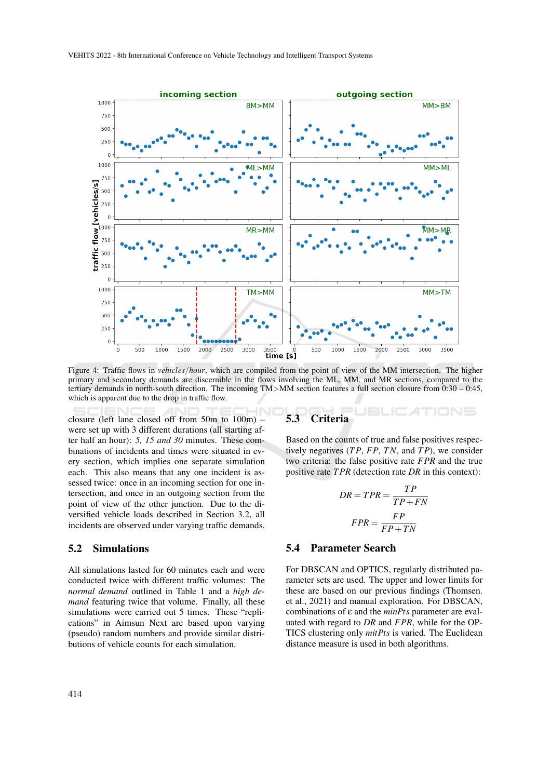

Figure 4: Traffic flows in *vehicles*/*hour*, which are compiled from the point of view of the MM intersection. The higher primary and secondary demands are discernible in the flows involving the ML, MM, and MR sections, compared to the tertiary demands in north-south direction. The incoming TM>MM section features a full section closure from 0:30 – 0:45, which is apparent due to the drop in traffic flow.

closure (left lane closed off from 50m to 100m) – were set up with 3 different durations (all starting after half an hour): *5, 15 and 30* minutes. These combinations of incidents and times were situated in every section, which implies one separate simulation each. This also means that any one incident is assessed twice: once in an incoming section for one intersection, and once in an outgoing section from the point of view of the other junction. Due to the diversified vehicle loads described in Section 3.2, all incidents are observed under varying traffic demands.

#### 5.2 Simulations

All simulations lasted for 60 minutes each and were conducted twice with different traffic volumes: The *normal demand* outlined in Table 1 and a *high demand* featuring twice that volume. Finally, all these simulations were carried out 5 times. These "replications" in Aimsun Next are based upon varying (pseudo) random numbers and provide similar distributions of vehicle counts for each simulation.

### 5.3 Criteria

Based on the counts of true and false positives respectively negatives (*T P*, *FP*, *TN*, and *T P*), we consider two criteria: the false positive rate *FPR* and the true positive rate *T PR* (detection rate *DR* in this context):

$$
DR = TPR = \frac{TP}{TP + FN}
$$

$$
FPR = \frac{FP}{FP + TN}
$$

#### 5.4 Parameter Search

For DBSCAN and OPTICS, regularly distributed parameter sets are used. The upper and lower limits for these are based on our previous findings (Thomsen. et al., 2021) and manual exploration. For DBSCAN, combinations of ε and the *minPts* parameter are evaluated with regard to *DR* and *FPR*, while for the OP-TICS clustering only *mitPts* is varied. The Euclidean distance measure is used in both algorithms.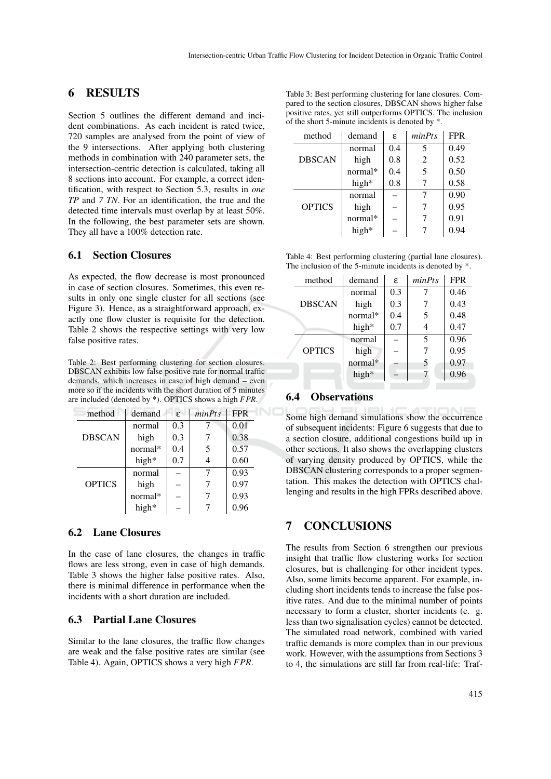# 6 RESULTS

Section 5 outlines the different demand and incident combinations. As each incident is rated twice, 720 samples are analysed from the point of view of the 9 intersections. After applying both clustering methods in combination with 240 parameter sets, the intersection-centric detection is calculated, taking all 8 sections into account. For example, a correct identification, with respect to Section 5.3, results in *one TP* and *7 TN*. For an identification, the true and the detected time intervals must overlap by at least 50%. In the following, the best parameter sets are shown. They all have a 100% detection rate.

### 6.1 Section Closures

As expected, the flow decrease is most pronounced in case of section closures. Sometimes, this even results in only one single cluster for all sections (see Figure 3). Hence, as a straightforward approach, exactly one flow cluster is requisite for the detection. Table 2 shows the respective settings with very low false positive rates.

Table 2: Best performing clustering for section closures. DBSCAN exhibits low false positive rate for normal traffic demands, which increases in case of high demand – even more so if the incidents with the short duration of 5 minutes are included (denoted by \*). OPTICS shows a high *FPR*.

| method        | demand  | $\mathcal{E}$ | minPts | <b>FPR</b> |
|---------------|---------|---------------|--------|------------|
| <b>DBSCAN</b> | normal  | 0.3           |        | 0.01       |
|               | high    | 0.3           |        | 0.38       |
|               | normal* | 0.4           |        | 0.57       |
|               | high*   | 0.7           |        | 0.60       |
| <b>OPTICS</b> | normal  |               |        | 0.93       |
|               | high    |               |        | 0.97       |
|               | normal* |               |        | 0.93       |
|               | high*   |               |        | 0.96       |

### 6.2 Lane Closures

In the case of lane closures, the changes in traffic flows are less strong, even in case of high demands. Table 3 shows the higher false positive rates. Also, there is minimal difference in performance when the incidents with a short duration are included.

#### 6.3 Partial Lane Closures

Similar to the lane closures, the traffic flow changes are weak and the false positive rates are similar (see Table 4). Again, OPTICS shows a very high *FPR*.

| Table 3: Best performing clustering for lane closures. Com- |
|-------------------------------------------------------------|
| pared to the section closures, DBSCAN shows higher false    |
| positive rates, yet still outperforms OPTICS. The inclusion |
| of the short 5-minute incidents is denoted by *.            |

| method        | demand    | ε.  | minPts | <b>FPR</b> |
|---------------|-----------|-----|--------|------------|
| <b>DBSCAN</b> | normal    | 0.4 | 5      | 0.49       |
|               | high      | 0.8 | 2      | 0.52       |
|               | $normal*$ | 0.4 | 5      | 0.50       |
|               | high*     | 0.8 |        | 0.58       |
| <b>OPTICS</b> | normal    |     |        | 0.90       |
|               | high      |     |        | 0.95       |
|               | normal*   |     |        | 0.91       |
|               | high*     |     |        | 0.94       |

Table 4: Best performing clustering (partial lane closures). The inclusion of the 5-minute incidents is denoted by \*.

| 0.46 |
|------|
| 0.43 |
| 0.48 |
| 0.47 |
| 0.96 |
| 0.95 |
| 0.97 |
| 0.96 |
|      |

### 6.4 Observations

Some high demand simulations show the occurrence of subsequent incidents: Figure 6 suggests that due to a section closure, additional congestions build up in other sections. It also shows the overlapping clusters of varying density produced by OPTICS, while the DBSCAN clustering corresponds to a proper segmentation. This makes the detection with OPTICS challenging and results in the high FPRs described above.

# 7 CONCLUSIONS

The results from Section 6 strengthen our previous insight that traffic flow clustering works for section closures, but is challenging for other incident types. Also, some limits become apparent. For example, including short incidents tends to increase the false positive rates. And due to the minimal number of points necessary to form a cluster, shorter incidents (e. g. less than two signalisation cycles) cannot be detected. The simulated road network, combined with varied traffic demands is more complex than in our previous work. However, with the assumptions from Sections 3 to 4, the simulations are still far from real-life: Traf-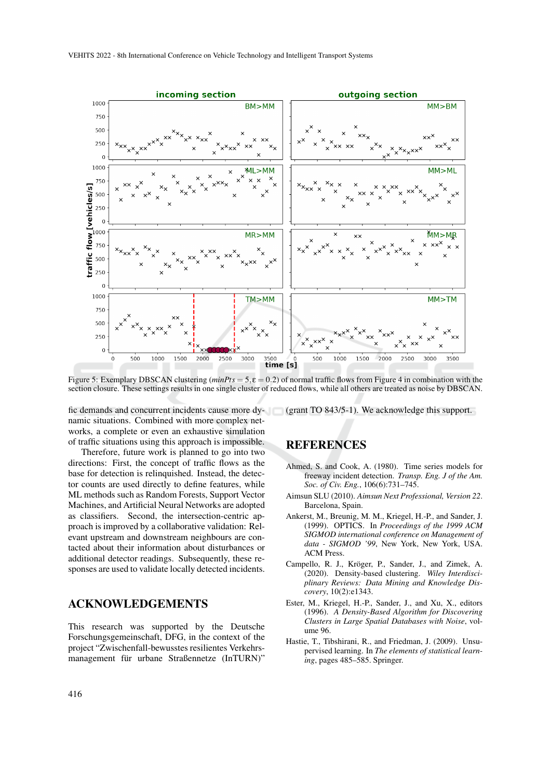

Figure 5: Exemplary DBSCAN clustering ( $minPts = 5$ ,  $\varepsilon = 0.2$ ) of normal traffic flows from Figure 4 in combination with the section closure. These settings results in one single cluster of reduced flows, while all others are treated as noise by DBSCAN.

fic demands and concurrent incidents cause more dy-(grant TO 843/5-1). We acknowledge this support. namic situations. Combined with more complex networks, a complete or even an exhaustive simulation of traffic situations using this approach is impossible.

Therefore, future work is planned to go into two directions: First, the concept of traffic flows as the base for detection is relinquished. Instead, the detector counts are used directly to define features, while ML methods such as Random Forests, Support Vector Machines, and Artificial Neural Networks are adopted as classifiers. Second, the intersection-centric approach is improved by a collaborative validation: Relevant upstream and downstream neighbours are contacted about their information about disturbances or additional detector readings. Subsequently, these responses are used to validate locally detected incidents.

### ACKNOWLEDGEMENTS

This research was supported by the Deutsche Forschungsgemeinschaft, DFG, in the context of the project "Zwischenfall-bewusstes resilientes Verkehrsmanagement für urbane Straßennetze (InTURN)"

## **REFERENCES**

- Ahmed, S. and Cook, A. (1980). Time series models for freeway incident detection. *Transp. Eng. J of the Am. Soc. of Civ. Eng.*, 106(6):731–745.
- Aimsun SLU (2010). *Aimsun Next Professional, Version 22*. Barcelona, Spain.
- Ankerst, M., Breunig, M. M., Kriegel, H.-P., and Sander, J. (1999). OPTICS. In *Proceedings of the 1999 ACM SIGMOD international conference on Management of data - SIGMOD '99*, New York, New York, USA. ACM Press.
- Campello, R. J., Kröger, P., Sander, J., and Zimek, A. (2020). Density-based clustering. *Wiley Interdisciplinary Reviews: Data Mining and Knowledge Discovery*, 10(2):e1343.
- Ester, M., Kriegel, H.-P., Sander, J., and Xu, X., editors (1996). *A Density-Based Algorithm for Discovering Clusters in Large Spatial Databases with Noise*, volume 96.
- Hastie, T., Tibshirani, R., and Friedman, J. (2009). Unsupervised learning. In *The elements of statistical learning*, pages 485–585. Springer.